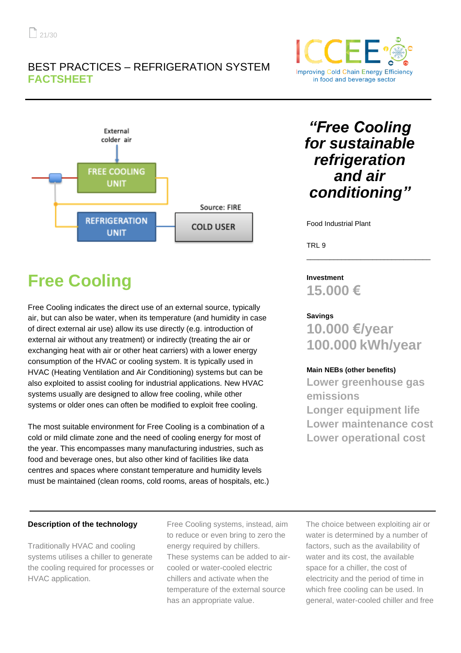## BEST PRACTICES – REFRIGERATION SYSTEM **FACTSHEET**



# **Improving Cold Chain Energy Efficiency** in food and beverage sector

## *"Free Cooling for sustainable refrigeration and air conditioning"*

Food Industrial Plant

TRL 9

## **Free Cooling**

Free Cooling indicates the direct use of an external source, typically air, but can also be water, when its temperature (and humidity in case of direct external air use) allow its use directly (e.g. introduction of external air without any treatment) or indirectly (treating the air or exchanging heat with air or other heat carriers) with a lower energy consumption of the HVAC or cooling system. It is typically used in HVAC (Heating Ventilation and Air Conditioning) systems but can be also exploited to assist cooling for industrial applications. New HVAC systems usually are designed to allow free cooling, while other systems or older ones can often be modified to exploit free cooling.

The most suitable environment for Free Cooling is a combination of a cold or mild climate zone and the need of cooling energy for most of the year. This encompasses many manufacturing industries, such as food and beverage ones, but also other kind of facilities like data centres and spaces where constant temperature and humidity levels must be maintained (clean rooms, cold rooms, areas of hospitals, etc.)

## **Investment 15.000 €**

## **Savings**

**10.000 €/year 100.000 kWh/year**

\_\_\_\_\_\_\_\_\_\_\_\_\_\_\_\_\_\_\_\_\_\_\_\_\_\_\_\_\_\_\_\_

## **Main NEBs (other benefits)**

**Lower greenhouse gas emissions Longer equipment life Lower maintenance cost Lower operational cost**

## **Description of the technology**

Traditionally HVAC and cooling systems utilises a chiller to generate the cooling required for processes or HVAC application.

Free Cooling systems, instead, aim to reduce or even bring to zero the energy required by chillers. These systems can be added to aircooled or water-cooled electric chillers and activate when the temperature of the external source has an appropriate value.

The choice between exploiting air or water is determined by a number of factors, such as the availability of water and its cost, the available space for a chiller, the cost of electricity and the period of time in which free cooling can be used. In general, water-cooled chiller and free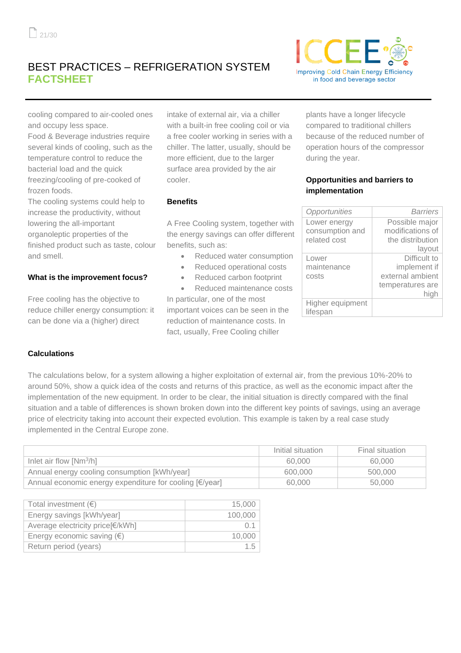## BEST PRACTICES – REFRIGERATION SYSTEM **FACTSHEET**



cooling compared to air-cooled ones and occupy less space.

Food & Beverage industries require several kinds of cooling, such as the temperature control to reduce the bacterial load and the quick freezing/cooling of pre-cooked of frozen foods.

The cooling systems could help to increase the productivity, without lowering the all-important organoleptic properties of the finished product such as taste, colour and smell.

## **What is the improvement focus?**

Free cooling has the objective to reduce chiller energy consumption: it can be done via a (higher) direct

intake of external air, via a chiller with a built-in free cooling coil or via a free cooler working in series with a chiller. The latter, usually, should be more efficient, due to the larger surface area provided by the air cooler.

#### **Benefits**

A Free Cooling system, together with the energy savings can offer different benefits, such as:

- Reduced water consumption
- Reduced operational costs
- Reduced carbon footprint

• Reduced maintenance costs In particular, one of the most important voices can be seen in the reduction of maintenance costs. In fact, usually, Free Cooling chiller

plants have a longer lifecycle compared to traditional chillers because of the reduced number of operation hours of the compressor during the year.

#### **Opportunities and barriers to implementation**

| Opportunities                | Barriers         |
|------------------------------|------------------|
| Lower energy                 | Possible major   |
| consumption and              | modifications of |
| related cost                 | the distribution |
|                              | layout           |
| Lower                        | Difficult to     |
| maintenance                  | implement if     |
| costs                        | external ambient |
|                              | temperatures are |
|                              | high             |
| Higher equipment<br>lifespan |                  |

#### **Calculations**

The calculations below, for a system allowing a higher exploitation of external air, from the previous 10%-20% to around 50%, show a quick idea of the costs and returns of this practice, as well as the economic impact after the implementation of the new equipment. In order to be clear, the initial situation is directly compared with the final situation and a table of differences is shown broken down into the different key points of savings, using an average price of electricity taking into account their expected evolution. This example is taken by a real case study implemented in the Central Europe zone.

|                                                         | Initial situation | Final situation |
|---------------------------------------------------------|-------------------|-----------------|
| Inlet air flow $[Nm^3/h]$                               | 60,000            | 60,000          |
| Annual energy cooling consumption [kWh/year]            | 600,000           | 500,000         |
| Annual economic energy expenditure for cooling [€/year] | 60,000            | 50,000          |

| Total investment $(\epsilon)$       | 15,000  |
|-------------------------------------|---------|
| Energy savings [kWh/year]           | 100,000 |
| Average electricity price[€/kWh]    | O 1     |
| Energy economic saving $(\epsilon)$ | 10.000  |
| Return period (years)               | 1.5     |